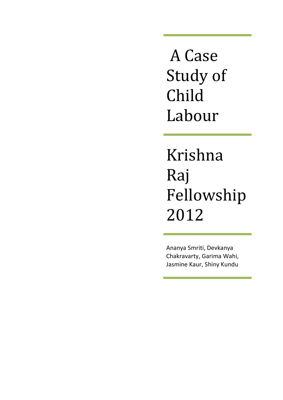A Case Study of Child Labour

Krishna Raj Fellowship 2012

Ananya Smriti, Devkanya Chakravarty, Garima Wahi, Jasmine Kaur, Shiny Kundu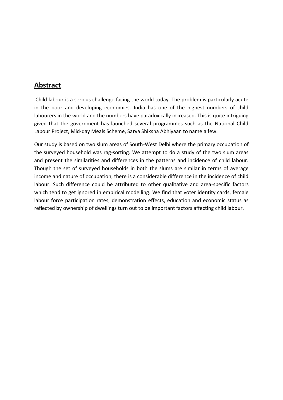# **Abstract**

Child labour is a serious challenge facing the world today. The problem is particularly acute in the poor and developing economies. India has one of the highest numbers of child labourers in the world and the numbers have paradoxically increased. This is quite intriguing given that the government has launched several programmes such as the National Child Labour Project, Mid-day Meals Scheme, Sarva Shiksha Abhiyaan to name a few.

Our study is based on two slum areas of South-West Delhi where the primary occupation of the surveyed household was rag-sorting. We attempt to do a study of the two slum areas and present the similarities and differences in the patterns and incidence of child labour. Though the set of surveyed households in both the slums are similar in terms of average income and nature of occupation, there is a considerable difference in the incidence of child labour. Such difference could be attributed to other qualitative and area-specific factors which tend to get ignored in empirical modelling. We find that voter identity cards, female labour force participation rates, demonstration effects, education and economic status as reflected by ownership of dwellings turn out to be important factors affecting child labour.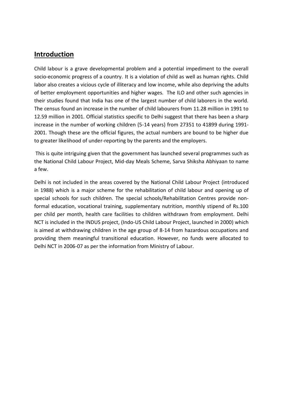### **Introduction**

Child labour is a grave developmental problem and a potential impediment to the overall socio-economic progress of a country. It is a violation of child as well as human rights. Child labor also creates a vicious cycle of illiteracy and low income, while also depriving the adults of better employment opportunities and higher wages. The ILO and other such agencies in their studies found that India has one of the largest number of child laborers in the world. The census found an increase in the number of child labourers from 11.28 million in 1991 to 12.59 million in 2001. Official statistics specific to Delhi suggest that there has been a sharp increase in the number of working children (5-14 years) from 27351 to 41899 during 1991- 2001. Though these are the official figures, the actual numbers are bound to be higher due to greater likelihood of under-reporting by the parents and the employers.

This is quite intriguing given that the government has launched several programmes such as the National Child Labour Project, Mid-day Meals Scheme, Sarva Shiksha Abhiyaan to name a few.

Delhi is not included in the areas covered by the National Child Labour Project (introduced in 1988) which is a major scheme for the rehabilitation of child labour and opening up of special schools for such children. The special schools/Rehabilitation Centres provide nonformal education, vocational training, supplementary nutrition, monthly stipend of Rs.100 per child per month, health care facilities to children withdrawn from employment. Delhi NCT is included in the INDUS project, (Indo-US Child Labour Project, launched in 2000) which is aimed at withdrawing children in the age group of 8-14 from hazardous occupations and providing them meaningful transitional education. However, no funds were allocated to Delhi NCT in 2006-07 as per the information from Ministry of Labour.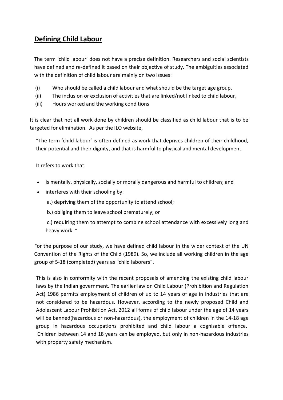# **Defining Child Labour**

The term 'child labour' does not have a precise definition. Researchers and social scientists have defined and re-defined it based on their objective of study. The ambiguities associated with the definition of child labour are mainly on two issues:

- (i) Who should be called a child labour and what should be the target age group,
- (ii) The inclusion or exclusion of activities that are linked/not linked to child labour,
- (iii) Hours worked and the working conditions

It is clear that not all work done by children should be classified as child labour that is to be targeted for elimination. As per the ILO website,

"The term 'child labour' is often defined as work that deprives children of their childhood, their potential and their dignity, and that is harmful to physical and mental development.

It refers to work that:

- is mentally, physically, socially or morally dangerous and harmful to children; and
- interferes with their schooling by:
	- a.) depriving them of the opportunity to attend school;
	- b.) obliging them to leave school prematurely; or

c.) requiring them to attempt to combine school attendance with excessively long and heavy work. "

For the purpose of our study, we have defined child labour in the wider context of the UN Convention of the Rights of the Child (1989). So, we include all working children in the age group of 5-18 (completed) years as "child laborers".

This is also in conformity with the recent proposals of amending the existing child labour laws by the Indian government. The earlier law on Child Labour (Prohibition and Regulation Act) 1986 permits employment of children of up to 14 years of age in industries that are not considered to be hazardous. However, according to the newly proposed Child and Adolescent Labour Prohibition Act, 2012 all forms of child labour under the age of 14 years will be banned(hazardous or non-hazardous), the employment of children in the 14-18 age group in hazardous occupations prohibited and child labour a cognisable offence. Children between 14 and 18 years can be employed, but only in non-hazardous industries with property safety mechanism.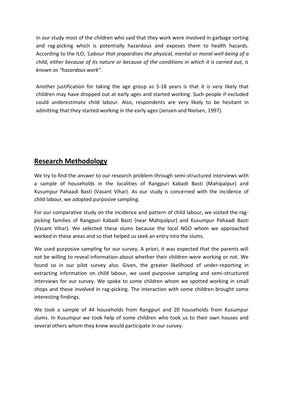In our study most of the children who said that they work were involved in garbage sorting and rag-picking which is potentially hazardous and exposes them to health hazards. According to the ILO, *'Labour that jeopardises the physical, mental or moral well-being of a child, either because of its nature or because of the conditions in which it is carried out, is known as "hazardous work".*

Another justification for taking the age group as 5-18 years is that it is very likely that children may have dropped out at early ages and started working. Such people if excluded could underestimate child labour. Also, respondents are very likely to be hesitant in admitting that they started working in the early ages (Jensen and Nielsen, 1997).

# **Research Methodology**

We try to find the answer to our research problem through semi-structured interviews with a sample of households in the localities of Rangpuri Kabadi Basti (Mahipalpur) and Kusumpur Pahaadi Basti (Vasant Vihar). As our study is concerned with the incidence of child labour, we adopted purposive sampling.

For our comparative study on the incidence and pattern of child labour, we visited the ragpicking families of Rangpuri Kabadi Basti (near Mahipalpur) and Kusumpur Pahaadi Basti (Vasant Vihar). We selected these slums because the local NGO whom we approached worked in these areas and so that helped us seek an entry into the slums.

We used purposive sampling for our survey. A priori, it was expected that the parents will not be willing to reveal information about whether their children were working or not. We found so in our pilot survey also. Given, the greater likelihood of under-reporting in extracting information on child labour, we used purposive sampling and semi-structured interviews for our survey. We spoke to some children whom we spotted working in small shops and those involved in rag-picking. The interaction with some children brought some interesting findings.

We took a sample of 44 households from Rangpuri and 20 households from Kusumpur slums. In Kusumpur we took help of some children who took us to their own houses and several others whom they knew would participate in our survey.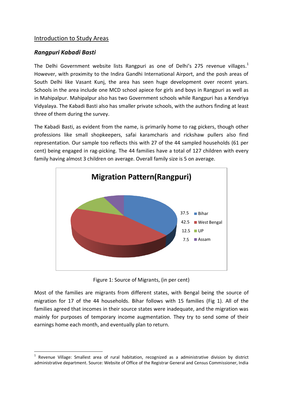### Introduction to Study Areas

### *Rangpuri Kabadi Basti*

The Delhi Government website lists Rangpuri as one of Delhi's 275 revenue villages.<sup>1</sup> However, with proximity to the Indira Gandhi International Airport, and the posh areas of South Delhi like Vasant Kunj, the area has seen huge development over recent years. Schools in the area include one MCD school apiece for girls and boys in Rangpuri as well as in Mahipalpur. Mahipalpur also has two Government schools while Rangpuri has a Kendriya Vidyalaya. The Kabadi Basti also has smaller private schools, with the authors finding at least three of them during the survey.

The Kabadi Basti, as evident from the name, is primarily home to rag pickers, though other professions like small shopkeepers, safai karamcharis and rickshaw pullers also find representation. Our sample too reflects this with 27 of the 44 sampled households (61 per cent) being engaged in rag-picking. The 44 families have a total of 127 children with every family having almost 3 children on average. Overall family size is 5 on average.



Figure 1: Source of Migrants, (in per cent)

Most of the families are migrants from different states, with Bengal being the source of migration for 17 of the 44 households. Bihar follows with 15 families (Fig 1). All of the families agreed that incomes in their source states were inadequate, and the migration was mainly for purposes of temporary income augmentation. They try to send some of their earnings home each month, and eventually plan to return.

<sup>1</sup> 1 Revenue Village: Smallest area of rural habitation, recognized as a administrative division by district administrative department. Source: Website of Office of the Registrar General and Census Commissioner, India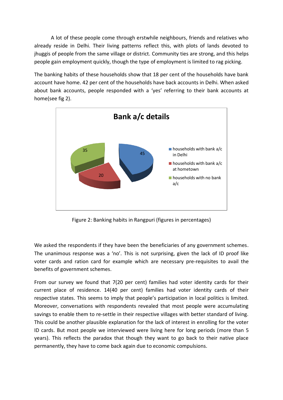A lot of these people come through erstwhile neighbours, friends and relatives who already reside in Delhi. Their living patterns reflect this, with plots of lands devoted to jhuggis of people from the same village or district. Community ties are strong, and this helps people gain employment quickly, though the type of employment is limited to rag picking.

The banking habits of these households show that 18 per cent of the households have bank account have home. 42 per cent of the households have back accounts in Delhi. When asked about bank accounts, people responded with a 'yes' referring to their bank accounts at home(see fig 2).



Figure 2: Banking habits in Rangpuri (figures in percentages)

We asked the respondents if they have been the beneficiaries of any government schemes. The unanimous response was a 'no'. This is not surprising, given the lack of ID proof like voter cards and ration card for example which are necessary pre-requisites to avail the benefits of government schemes.

From our survey we found that 7(20 per cent) families had voter identity cards for their current place of residence. 14(40 per cent) families had voter identity cards of their respective states. This seems to imply that people's participation in local politics is limited. Moreover, conversations with respondents revealed that most people were accumulating savings to enable them to re-settle in their respective villages with better standard of living. This could be another plausible explanation for the lack of interest in enrolling for the voter ID cards. But most people we interviewed were living here for long periods (more than 5 years). This reflects the paradox that though they want to go back to their native place permanently, they have to come back again due to economic compulsions*.*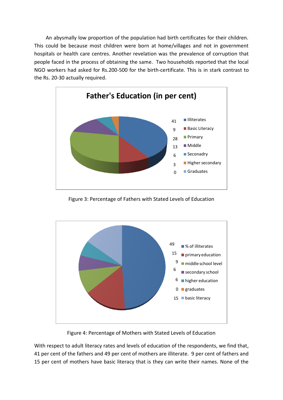An abysmally low proportion of the population had birth certificates for their children. This could be because most children were born at home/villages and not in government hospitals or health care centres. Another revelation was the prevalence of corruption that people faced in the process of obtaining the same. Two households reported that the local NGO workers had asked for Rs.200-500 for the birth-certificate. This is in stark contrast to the Rs. 20-30 actually required**.**



Figure 3: Percentage of Fathers with Stated Levels of Education



Figure 4: Percentage of Mothers with Stated Levels of Education

With respect to adult literacy rates and levels of education of the respondents, we find that, 41 per cent of the fathers and 49 per cent of mothers are illiterate. 9 per cent of fathers and 15 per cent of mothers have basic literacy that is they can write their names. None of the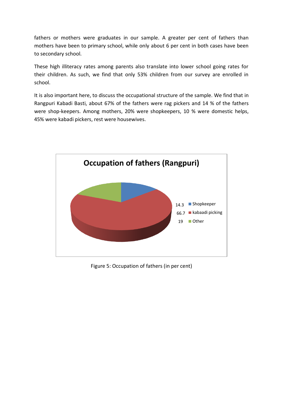fathers or mothers were graduates in our sample. A greater per cent of fathers than mothers have been to primary school, while only about 6 per cent in both cases have been to secondary school.

These high illiteracy rates among parents also translate into lower school going rates for their children. As such, we find that only 53% children from our survey are enrolled in school.

It is also important here, to discuss the occupational structure of the sample. We find that in Rangpuri Kabadi Basti, about 67% of the fathers were rag pickers and 14 % of the fathers were shop-keepers. Among mothers, 20% were shopkeepers, 10 % were domestic helps, 45% were kabadi pickers, rest were housewives.



Figure 5: Occupation of fathers (in per cent)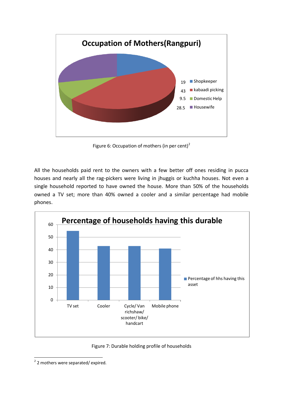

Figure 6: Occupation of mothers (in per cent)<sup>2</sup>

All the households paid rent to the owners with a few better off ones residing in pucca houses and nearly all the rag-pickers were living in jhuggis or kuchha houses. Not even a single household reported to have owned the house. More than 50% of the households owned a TV set; more than 40% owned a cooler and a similar percentage had mobile phones.



#### Figure 7: Durable holding profile of households

**<sup>.</sup>** <sup>2</sup> 2 mothers were separated/ expired.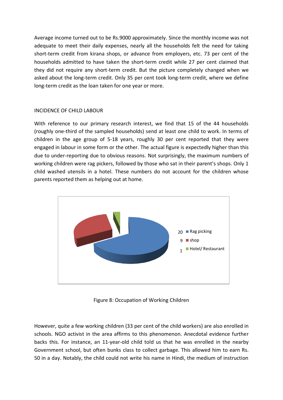Average income turned out to be Rs.9000 approximately. Since the monthly income was not adequate to meet their daily expenses, nearly all the households felt the need for taking short-term credit from kirana shops, or advance from employers, etc. 73 per cent of the households admitted to have taken the short-term credit while 27 per cent claimed that they did not require any short-term credit. But the picture completely changed when we asked about the long-term credit. Only 35 per cent took long-term credit, where we define long-term credit as the loan taken for one year or more.

#### INCIDENCE OF CHILD LABOUR

With reference to our primary research interest, we find that 15 of the 44 households (roughly one-third of the sampled households) send at least one child to work. In terms of children in the age group of 5-18 years, roughly 30 per cent reported that they were engaged in labour in some form or the other. The actual figure is expectedly higher than this due to under-reporting due to obvious reasons. Not surprisingly, the maximum numbers of working children were rag pickers, followed by those who sat in their parent's shops. Only 1 child washed utensils in a hotel. These numbers do not account for the children whose parents reported them as helping out at home.



Figure 8: Occupation of Working Children

However, quite a few working children (33 per cent of the child workers) are also enrolled in schools. NGO activist in the area affirms to this phenomenon. Anecdotal evidence further backs this. For instance, an 11-year-old child told us that he was enrolled in the nearby Government school, but often bunks class to collect garbage. This allowed him to earn Rs. 50 in a day. Notably, the child could not write his name in Hindi, the medium of instruction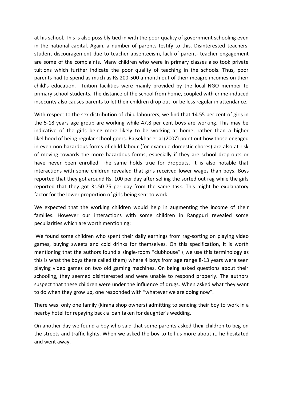at his school. This is also possibly tied in with the poor quality of government schooling even in the national capital. Again, a number of parents testify to this. Disinterested teachers, student discouragement due to teacher absenteeism, lack of parent- teacher engagement are some of the complaints. Many children who were in primary classes also took private tuitions which further indicate the poor quality of teaching in the schools. Thus, poor parents had to spend as much as Rs.200-500 a month out of their meagre incomes on their child's education. Tuition facilities were mainly provided by the local NGO member to primary school students. The distance of the school from home, coupled with crime-induced insecurity also causes parents to let their children drop out, or be less regular in attendance.

With respect to the sex distribution of child labourers, we find that 14.55 per cent of girls in the 5-18 years age group are working while 47.8 per cent boys are working. This may be indicative of the girls being more likely to be working at home, rather than a higher likelihood of being regular school-goers. Rajsekhar et al (2007) point out how those engaged in even non-hazardous forms of child labour (for example domestic chores) are also at risk of moving towards the more hazardous forms, especially if they are school drop-outs or have never been enrolled. The same holds true for dropouts. It is also notable that interactions with some children revealed that girls received lower wages than boys. Boys reported that they got around Rs. 100 per day after selling the sorted out rag while the girls reported that they got Rs.50-75 per day from the same task. This might be explanatory factor for the lower proportion of girls being sent to work.

We expected that the working children would help in augmenting the income of their families. However our interactions with some children in Rangpuri revealed some peculiarities which are worth mentioning:

We found some children who spent their daily earnings from rag-sorting on playing video games, buying sweets and cold drinks for themselves. On this specification, it is worth mentioning that the authors found a single-room "clubhouse" ( we use this terminology as this is what the boys there called them) where 4 boys from age range 8-13 years were seen playing video games on two old gaming machines. On being asked questions about their schooling, they seemed disinterested and were unable to respond properly. The authors suspect that these children were under the influence of drugs. When asked what they want to do when they grow up, one responded with "whatever we are doing now".

There was only one family (kirana shop owners) admitting to sending their boy to work in a nearby hotel for repaying back a loan taken for daughter's wedding.

On another day we found a boy who said that some parents asked their children to beg on the streets and traffic lights. When we asked the boy to tell us more about it, he hesitated and went away.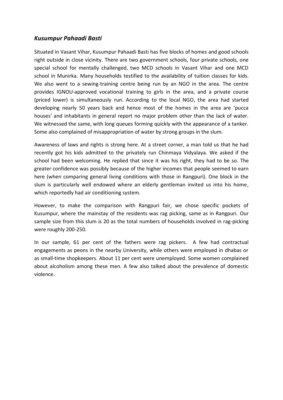### *Kusumpur Pahaadi Basti*

Situated in Vasant Vihar, Kusumpur Pahaadi Basti has five blocks of homes and good schools right outside in close vicinity. There are two government schools, four private schools, one special school for mentally challenged, two MCD schools in Vasant Vihar and one MCD school in Munirka. Many households testified to the availability of tuition classes for kids. We also went to a sewing-training centre being run by an NGO in the area. The centre provides IGNOU-approved vocational training to girls in the area, and a private course (priced lower) is simultaneously run. According to the local NGO, the area had started developing nearly 50 years back and hence most of the homes in the area are 'pucca houses' and inhabitants in general report no major problem other than the lack of water. We witnessed the same, with long queues forming quickly with the appearance of a tanker. Some also complained of misappropriation of water by strong groups in the slum.

Awareness of laws and rights is strong here. At a street corner, a man told us that he had recently got his kids admitted to the privately run Chinmaya Vidyalaya. We asked if the school had been welcoming. He replied that since it was his right, they had to be so. The greater confidence was possibly because of the higher incomes that people seemed to earn here (when comparing general living conditions with those in Rangpuri). One block in the slum is particularly well endowed where an elderly gentleman invited us into his home, which reportedly had air conditioning system.

However, to make the comparison with Rangpuri fair, we chose specific pockets of Kusumpur, where the mainstay of the residents was rag picking, same as in Rangpuri. Our sample size from this slum is 20 as the total numbers of households involved in rag-picking were roughly 200-250.

In our sample, 61 per cent of the fathers were rag pickers. A few had contractual engagements as peons in the nearby University, while others were employed in dhabas or as small-time shopkeepers. About 11 per cent were unemployed. Some women complained about alcoholism among these men. A few also talked about the prevalence of domestic violence.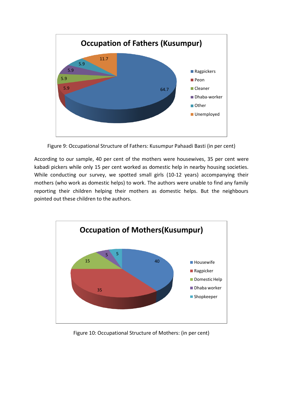

Figure 9: Occupational Structure of Fathers: Kusumpur Pahaadi Basti (in per cent)

According to our sample, 40 per cent of the mothers were housewives, 35 per cent were kabadi pickers while only 15 per cent worked as domestic help in nearby housing societies. While conducting our survey, we spotted small girls (10-12 years) accompanying their mothers (who work as domestic helps) to work. The authors were unable to find any family reporting their children helping their mothers as domestic helps. But the neighbours pointed out these children to the authors.



Figure 10: Occupational Structure of Mothers: (in per cent)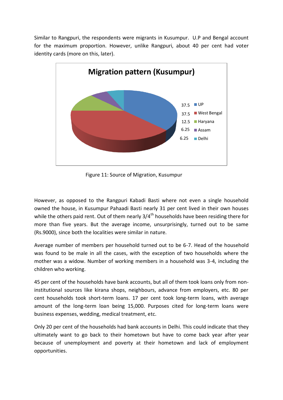Similar to Rangpuri, the respondents were migrants in Kusumpur. U.P and Bengal account for the maximum proportion. However, unlike Rangpuri, about 40 per cent had voter identity cards (more on this, later).



Figure 11: Source of Migration, Kusumpur

However, as opposed to the Rangpuri Kabadi Basti where not even a single household owned the house, in Kusumpur Pahaadi Basti nearly 31 per cent lived in their own houses while the others paid rent. Out of them nearly  $3/4<sup>th</sup>$  households have been residing there for more than five years. But the average income, unsurprisingly, turned out to be same (Rs.9000), since both the localities were similar in nature.

Average number of members per household turned out to be 6-7. Head of the household was found to be male in all the cases, with the exception of two households where the mother was a widow. Number of working members in a household was 3-4, including the children who working.

45 per cent of the households have bank accounts, but all of them took loans only from noninstitutional sources like kirana shops, neighbours, advance from employers, etc. 80 per cent households took short-term loans. 17 per cent took long-term loans, with average amount of the long-term loan being 15,000. Purposes cited for long-term loans were business expenses, wedding, medical treatment, etc.

Only 20 per cent of the households had bank accounts in Delhi. This could indicate that they ultimately want to go back to their hometown but have to come back year after year because of unemployment and poverty at their hometown and lack of employment opportunities.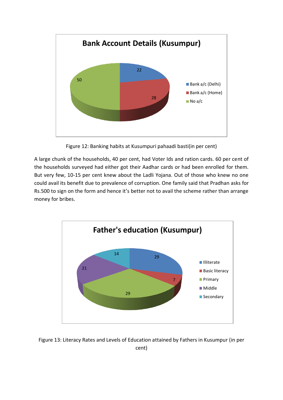

Figure 12: Banking habits at Kusumpuri pahaadi basti(in per cent)

A large chunk of the households, 40 per cent, had Voter Ids and ration cards. 60 per cent of the households surveyed had either got their Aadhar cards or had been enrolled for them. But very few, 10-15 per cent knew about the Ladli Yojana. Out of those who knew no one could avail its benefit due to prevalence of corruption. One family said that Pradhan asks for Rs.500 to sign on the form and hence it's better not to avail the scheme rather than arrange money for bribes.



Figure 13: Literacy Rates and Levels of Education attained by Fathers in Kusumpur (in per cent)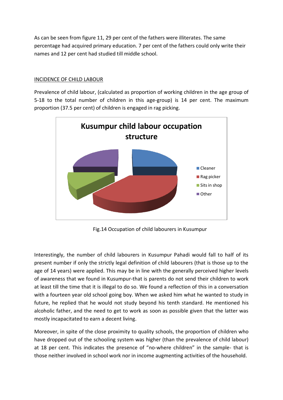As can be seen from figure 11, 29 per cent of the fathers were illiterates. The same percentage had acquired primary education. 7 per cent of the fathers could only write their names and 12 per cent had studied till middle school.

#### INCIDENCE OF CHILD LABOUR

Prevalence of child labour, (calculated as proportion of working children in the age group of 5-18 to the total number of children in this age-group) is 14 per cent. The maximum proportion (37.5 per cent) of children is engaged in rag picking.



Fig.14 Occupation of child labourers in Kusumpur

Interestingly, the number of child labourers in Kusumpur Pahadi would fall to half of its present number if only the strictly legal definition of child labourers (that is those up to the age of 14 years) were applied. This may be in line with the generally perceived higher levels of awareness that we found in Kusumpur-that is parents do not send their children to work at least till the time that it is illegal to do so. We found a reflection of this in a conversation with a fourteen year old school going boy. When we asked him what he wanted to study in future, he replied that he would not study beyond his tenth standard. He mentioned his alcoholic father, and the need to get to work as soon as possible given that the latter was mostly incapacitated to earn a decent living.

Moreover, in spite of the close proximity to quality schools, the proportion of children who have dropped out of the schooling system was higher (than the prevalence of child labour) at 18 per cent. This indicates the presence of "no-where children" in the sample- that is those neither involved in school work nor in income augmenting activities of the household.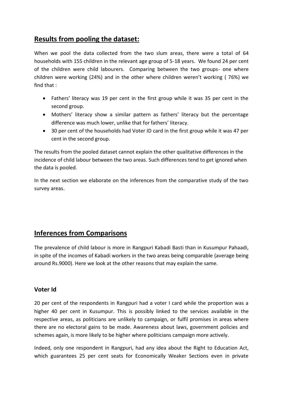# **Results from pooling the dataset:**

When we pool the data collected from the two slum areas, there were a total of 64 households with 155 children in the relevant age group of 5-18 years. We found 24 per cent of the children were child labourers. Comparing between the two groups- one where children were working (24%) and in the other where children weren't working ( 76%) we find that :

- Fathers' literacy was 19 per cent in the first group while it was 35 per cent in the second group.
- Mothers' literacy show a similar pattern as fathers' literacy but the percentage difference was much lower, unlike that for fathers' literacy.
- 30 per cent of the households had Voter ID card in the first group while it was 47 per cent in the second group.

The results from the pooled dataset cannot explain the other qualitative differences in the incidence of child labour between the two areas. Such differences tend to get ignored when the data is pooled.

In the next section we elaborate on the inferences from the comparative study of the two survey areas.

## **Inferences from Comparisons**

The prevalence of child labour is more in Rangpuri Kabadi Basti than in Kusumpur Pahaadi, in spite of the incomes of Kabadi workers in the two areas being comparable (average being around Rs.9000). Here we look at the other reasons that may explain the same.

### **Voter Id**

20 per cent of the respondents in Rangpuri had a voter I card while the proportion was a higher 40 per cent in Kusumpur. This is possibly linked to the services available in the respective areas, as politicians are unlikely to campaign, or fulfil promises in areas where there are no electoral gains to be made. Awareness about laws, government policies and schemes again, is more likely to be higher where politicians campaign more actively.

Indeed, only one respondent in Rangpuri, had any idea about the Right to Education Act, which guarantees 25 per cent seats for Economically Weaker Sections even in private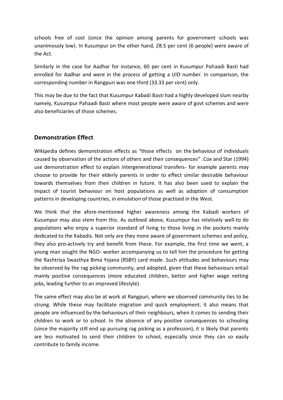schools free of cost (since the opinion among parents for government schools was unanimously low). In Kusumpur on the other hand, 28.5 per cent (6 people) were aware of the Act.

Similarly in the case for Aadhar for instance, 60 per cent in Kusumpur Pahaadi Basti had enrolled for Aadhar and were in the process of getting a UID number. In comparison, the corresponding number in Rangpuri was one-third (33.33 per cent) only.

This may be due to the fact that Kusumpur Kabadi Basti had a highly developed slum nearby namely, Kusumpur Pahaadi Basti where most people were aware of govt schemes and were also beneficiaries of those schemes.

### **Demonstration Effect**

Wikipedia defines demonstration effects as "those effects on the [behaviour](http://en.wikipedia.org/wiki/Behavior) of individuals caused by observation of the actions of others and their consequences" .Cox and Star (1994) use demonstration effect to explain intergenerational transfers- for example parents may choose to provide for their elderly parents in order to effect similar desirable behaviour towards themselves from their children in future. It has also been used to explain the impact of tourist behaviour on host populations as well as adoption of consumption patterns in developing countries, in emulation of those practised in the West.

We think that the afore-mentioned higher awareness among the Kabadi workers of Kusumpur may also stem from this. As outlined above, Kusumpur has relatively well-to do populations who enjoy a superior standard of living to those living in the pockets mainly dedicated to the Kabadis. Not only are they more aware of government schemes and policy, they also pro-actively try and benefit from these. For example, the first time we went, a young man sought the NGO- worker accompanying us to tell him the procedure for getting the Rashtriya Swasthya Bima Yojana (RSBY) card made. Such attitudes and behaviours may be observed by the rag picking community, and adopted, given that these behaviours entail mainly positive consequences (more educated children, better and higher wage netting jobs, leading further to an improved lifestyle).

The same effect may also be at work at Rangpuri, where we observed community ties to be strong. While these may facilitate migration and quick employment, it also means that people are influenced by the behaviours of their neighbours, when it comes to sending their children to work or to school. In the absence of any positive consequences to schooling (since the majority still end up pursuing rag picking as a profession), it is likely that parents are less motivated to send their children to school, especially since they can so easily contribute to family income.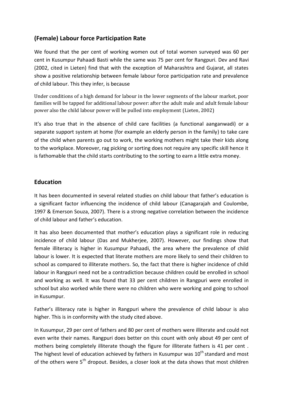### **(Female) Labour force Participation Rate**

We found that the per cent of working women out of total women surveyed was 60 per cent in Kusumpur Pahaadi Basti while the same was 75 per cent for Rangpuri. Dev and Ravi (2002, cited in Lieten) find that with the exception of Maharashtra and Gujarat, all states show a positive relationship between female labour force participation rate and prevalence of child labour. This they infer, is because

Under conditions of a high demand for labour in the lower segments of the labour market, poor families will be tapped for additional labour power: after the adult male and adult female labour power also the child labour power will be pulled into employment (Lieten, 2002)

It's also true that in the absence of child care facilities (a functional aanganwadi) or a separate support system at home (for example an elderly person in the family) to take care of the child when parents go out to work, the working mothers might take their kids along to the workplace. Moreover, rag picking or sorting does not require any specific skill hence it is fathomable that the child starts contributing to the sorting to earn a little extra money.

### **Education**

It has been documented in several related studies on child labour that father's education is a significant factor influencing the incidence of child labour (Canagarajah and Coulombe, 1997 & Emerson Souza, 2007). There is a strong negative correlation between the incidence of child labour and father's education.

It has also been documented that mother's education plays a significant role in reducing incidence of child labour (Das and Mukherjee, 2007). However, our findings show that female illiteracy is higher in Kusumpur Pahaadi, the area where the prevalence of child labour is lower. It is expected that literate mothers are more likely to send their children to school as compared to illiterate mothers. So, the fact that there is higher incidence of child labour in Rangpuri need not be a contradiction because children could be enrolled in school and working as well. It was found that 33 per cent children in Rangpuri were enrolled in school but also worked while there were no children who were working and going to school in Kusumpur.

Father's illiteracy rate is higher in Rangpuri where the prevalence of child labour is also higher. This is in conformity with the study cited above.

In Kusumpur, 29 per cent of fathers and 80 per cent of mothers were illiterate and could not even write their names. Rangpuri does better on this count with only about 49 per cent of mothers being completely illiterate though the figure for illiterate fathers is 41 per cent . The highest level of education achieved by fathers in Kusumpur was  $10<sup>th</sup>$  standard and most of the others were 5<sup>th</sup> dropout. Besides, a closer look at the data shows that most children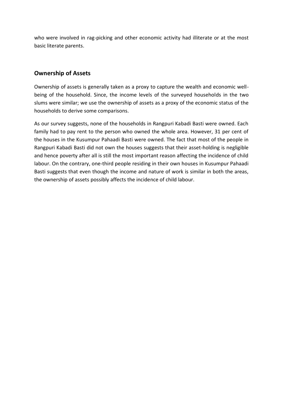who were involved in rag-picking and other economic activity had illiterate or at the most basic literate parents.

### **Ownership of Assets**

Ownership of assets is generally taken as a proxy to capture the wealth and economic wellbeing of the household. Since, the income levels of the surveyed households in the two slums were similar; we use the ownership of assets as a proxy of the economic status of the households to derive some comparisons.

As our survey suggests, none of the households in Rangpuri Kabadi Basti were owned. Each family had to pay rent to the person who owned the whole area. However, 31 per cent of the houses in the Kusumpur Pahaadi Basti were owned. The fact that most of the people in Rangpuri Kabadi Basti did not own the houses suggests that their asset-holding is negligible and hence poverty after all is still the most important reason affecting the incidence of child labour. On the contrary, one-third people residing in their own houses in Kusumpur Pahaadi Basti suggests that even though the income and nature of work is similar in both the areas, the ownership of assets possibly affects the incidence of child labour.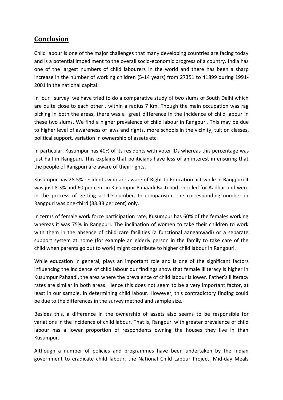## **Conclusion**

Child labour is one of the major challenges that many developing countries are facing today and is a potential impediment to the overall socio-economic progress of a country. India has one of the largest numbers of child labourers in the world and there has been a sharp increase in the number of working children (5-14 years) from 27351 to 41899 during 1991- 2001 in the national capital.

In oursurvey we have tried to do a comparative study of two slums of South Delhi which are quite close to each other , within a radius 7 Km. Though the main occupation was rag picking in both the areas, there was a great difference in the incidence of child labour in these two slums. We find a higher prevalence of child labour in Rangpuri. This may be due to higher level of awareness of laws and rights, more schools in the vicinity, tuition classes, political support, variation in ownership of assets etc.

In particular, Kusumpur has 40% of its residents with voter IDs whereas this percentage was just half in Rangpuri. This explains that politicians have less of an interest in ensuring that the people of Rangpuri are aware of their rights.

Kusumpur has 28.5% residents who are aware of Right to Education act while in Rangpuri it was just 8.3% and 60 per cent in Kusumpur Pahaadi Basti had enrolled for Aadhar and were in the process of getting a UID number. In comparison, the corresponding number in Rangpuri was one-third (33.33 per cent) only.

In terms of female work force participation rate, Kusumpur has 60% of the females working whereas it was 75% in Rangpuri. The inclination of women to take their children to work with them in the absence of child care facilities (a functional aanganwadi) or a separate support system at home (for example an elderly person in the family to take care of the child when parents go out to work) might contribute to higher child labour in Rangpuri.

While education in general, plays an important role and is one of the significant factors influencing the incidence of child labour our findings show that female illiteracy is higher in Kusumpur Pahaadi, the area where the prevalence of child labour is lower. Father's illiteracy rates are similar in both areas. Hence this does not seem to be a very important factor, at least in our sample, in determining child labour. However, this contradictory finding could be due to the differences in the survey method and sample size.

Besides this, a difference in the ownership of assets also seems to be responsible for variations in the incidence of child labour. That is, Rangpuri with greater prevalence of child labour has a lower proportion of respondents owning the houses they live in than Kusumpur.

Although a number of policies and programmes have been undertaken by the Indian government to eradicate child labour, the National Child Labour Project, Mid-day Meals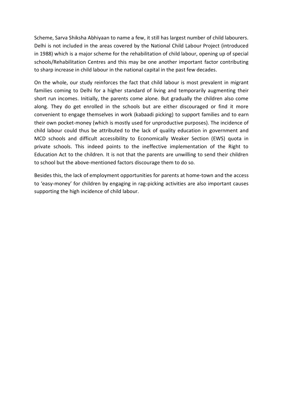Scheme, Sarva Shiksha Abhiyaan to name a few, it still has largest number of child labourers. Delhi is not included in the areas covered by the National Child Labour Project (introduced in 1988) which is a major scheme for the rehabilitation of child labour, opening up of special schools/Rehabilitation Centres and this may be one another important factor contributing to sharp increase in child labour in the national capital in the past few decades.

On the whole, our study reinforces the fact that child labour is most prevalent in migrant families coming to Delhi for a higher standard of living and temporarily augmenting their short run incomes. Initially, the parents come alone. But gradually the children also come along. They do get enrolled in the schools but are either discouraged or find it more convenient to engage themselves in work (kabaadi picking) to support families and to earn their own pocket-money (which is mostly used for unproductive purposes). The incidence of child labour could thus be attributed to the lack of quality education in government and MCD schools and difficult accessibility to Economically Weaker Section (EWS) quota in private schools. This indeed points to the ineffective implementation of the Right to Education Act to the children. It is not that the parents are unwilling to send their children to school but the above-mentioned factors discourage them to do so.

Besides this, the lack of employment opportunities for parents at home-town and the access to 'easy-money' for children by engaging in rag-picking activities are also important causes supporting the high incidence of child labour.